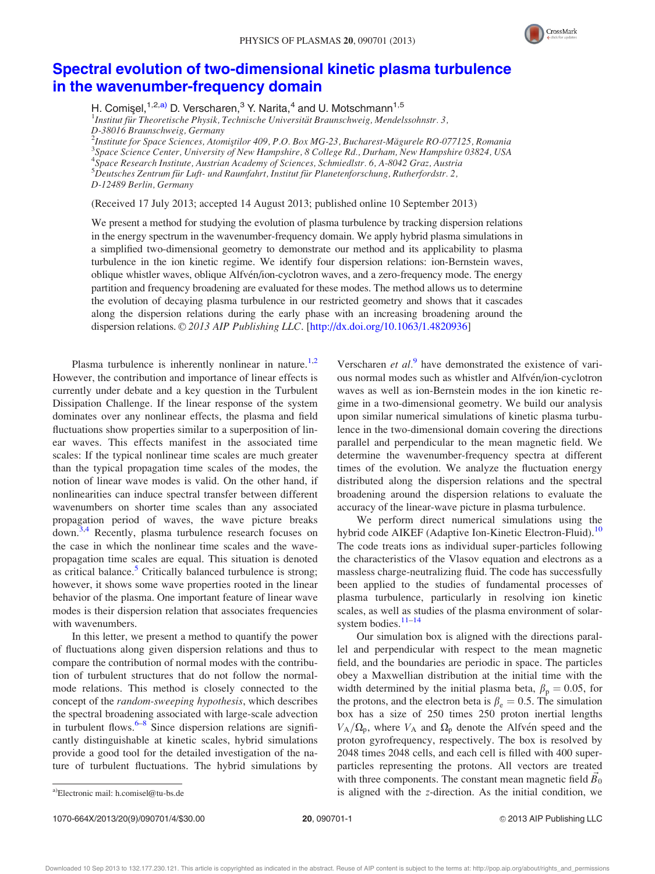

## [Spectral evolution of two-dimensional kinetic plasma turbulence](http://dx.doi.org/10.1063/1.4820936) [in the wavenumber-frequency domain](http://dx.doi.org/10.1063/1.4820936)

H. Comişel,<sup>1,2,a)</sup> D. Verscharen,<sup>3</sup> Y. Narita,<sup>4</sup> and U. Motschmann<sup>1,5</sup>

 $^{1}$ Institut für Theoretische Physik, Technische Universität Braunschweig, Mendelssohnstr. 3, D-38016 Braunschweig, Germany

<sup>2</sup>Institute for Space Sciences, Atomistilor 409, P.O. Box MG-23, Bucharest-Măgurele RO-077125, Romania<br><sup>3</sup>Space Science Canter, University of New Hampshire, 8 College Pd., Durham, New Hampshire 03824, USA Space Science Center, University of New Hampshire, 8 College Rd., Durham, New Hampshire 03824, USA 4 Space Research Institute, Austrian Academy of Sciences, Schmiedlstr. 6, A-8042 Graz, Austria  $^{5}D$ eutsches Zentrum für Luft- und Raumfahrt, Institut für Planetenforschung, Rutherfordstr. 2, D-12489 Berlin, Germany

(Received 17 July 2013; accepted 14 August 2013; published online 10 September 2013)

We present a method for studying the evolution of plasma turbulence by tracking dispersion relations in the energy spectrum in the wavenumber-frequency domain. We apply hybrid plasma simulations in a simplified two-dimensional geometry to demonstrate our method and its applicability to plasma turbulence in the ion kinetic regime. We identify four dispersion relations: ion-Bernstein waves, oblique whistler waves, oblique Alfvén/ion-cyclotron waves, and a zero-frequency mode. The energy partition and frequency broadening are evaluated for these modes. The method allows us to determine the evolution of decaying plasma turbulence in our restricted geometry and shows that it cascades along the dispersion relations during the early phase with an increasing broadening around the dispersion relations. © 2013 AIP Publishing LLC. [[http://dx.doi.org/10.1063/1.4820936\]](http://dx.doi.org/10.1063/1.4820936)

Plasma turbulence is inherently nonlinear in nature.<sup>[1,2](#page-3-0)</sup> However, the contribution and importance of linear effects is currently under debate and a key question in the Turbulent Dissipation Challenge. If the linear response of the system dominates over any nonlinear effects, the plasma and field fluctuations show properties similar to a superposition of linear waves. This effects manifest in the associated time scales: If the typical nonlinear time scales are much greater than the typical propagation time scales of the modes, the notion of linear wave modes is valid. On the other hand, if nonlinearities can induce spectral transfer between different wavenumbers on shorter time scales than any associated propagation period of waves, the wave picture breaks down.<sup>[3,4](#page-3-0)</sup> Recently, plasma turbulence research focuses on the case in which the nonlinear time scales and the wavepropagation time scales are equal. This situation is denoted as critical balance.<sup>[5](#page-3-0)</sup> Critically balanced turbulence is strong; however, it shows some wave properties rooted in the linear behavior of the plasma. One important feature of linear wave modes is their dispersion relation that associates frequencies with wavenumbers.

In this letter, we present a method to quantify the power of fluctuations along given dispersion relations and thus to compare the contribution of normal modes with the contribution of turbulent structures that do not follow the normalmode relations. This method is closely connected to the concept of the random-sweeping hypothesis, which describes the spectral broadening associated with large-scale advection in turbulent flows. $6-8$  Since dispersion relations are significantly distinguishable at kinetic scales, hybrid simulations provide a good tool for the detailed investigation of the nature of turbulent fluctuations. The hybrid simulations by Verscharen et  $al$ <sup>[9](#page-3-0)</sup> have demonstrated the existence of various normal modes such as whistler and Alfvén/ion-cyclotron waves as well as ion-Bernstein modes in the ion kinetic regime in a two-dimensional geometry. We build our analysis upon similar numerical simulations of kinetic plasma turbulence in the two-dimensional domain covering the directions parallel and perpendicular to the mean magnetic field. We determine the wavenumber-frequency spectra at different times of the evolution. We analyze the fluctuation energy distributed along the dispersion relations and the spectral broadening around the dispersion relations to evaluate the accuracy of the linear-wave picture in plasma turbulence.

We perform direct numerical simulations using the hybrid code AIKEF (Adaptive Ion-Kinetic Electron-Fluid).<sup>[10](#page-3-0)</sup> The code treats ions as individual super-particles following the characteristics of the Vlasov equation and electrons as a massless charge-neutralizing fluid. The code has successfully been applied to the studies of fundamental processes of plasma turbulence, particularly in resolving ion kinetic scales, as well as studies of the plasma environment of solar-system bodies.<sup>[11–14](#page-3-0)</sup>

Our simulation box is aligned with the directions parallel and perpendicular with respect to the mean magnetic field, and the boundaries are periodic in space. The particles obey a Maxwellian distribution at the initial time with the width determined by the initial plasma beta,  $\beta_p = 0.05$ , for the protons, and the electron beta is  $\beta_e = 0.5$ . The simulation box has a size of 250 times 250 proton inertial lengths  $V_A/\Omega_p$ , where  $V_A$  and  $\Omega_p$  denote the Alfvén speed and the proton gyrofrequency, respectively. The box is resolved by 2048 times 2048 cells, and each cell is filled with 400 superparticles representing the protons. All vectors are treated with three components. The constant mean magnetic field  $\vec{B_0}$ a)Electronic mail: [h.comisel@tu-bs.de](mailto:h.comisel@tu-bs.de) is aligned with the z-direction. As the initial condition, we

1070-664X/2013/20(9)/090701/4/\$30.00 20, 090701-1 20, 090701-1 20, 090701-1 20, 090701-1 20, 090701-1 20, 090701-1

Downloaded 10 Sep 2013 to 132.177.230.121. This article is copyrighted as indicated in the abstract. Reuse of AIP content is subject to the terms at: http://pop.aip.org/about/rights\_and\_permissions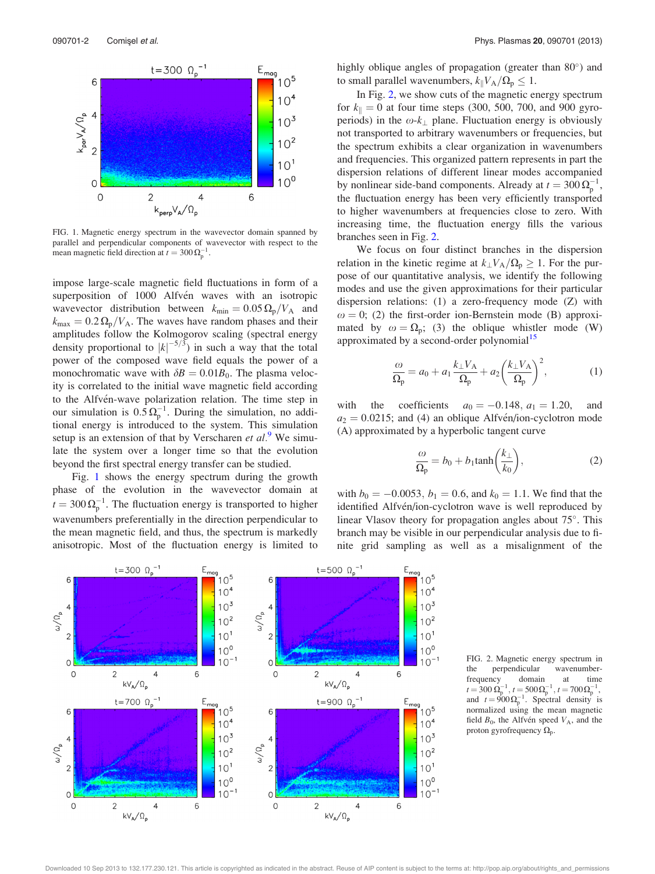

FIG. 1. Magnetic energy spectrum in the wavevector domain spanned by parallel and perpendicular components of wavevector with respect to the mean magnetic field direction at  $t = 300 \Omega_{\rm p}^{-1}$ .

impose large-scale magnetic field fluctuations in form of a superposition of 1000 Alfvén waves with an isotropic wavevector distribution between  $k_{\text{min}} = 0.05 \Omega_{\text{p}}/V_{\text{A}}$  and  $k_{\text{max}} = 0.2 \,\Omega_{\text{p}}/V_{\text{A}}$ . The waves have random phases and their amplitudes follow the Kolmogorov scaling (spectral energy density proportional to  $|k|^{-5/3}$  in such a way that the total power of the composed wave field equals the power of a monochromatic wave with  $\delta B = 0.01B_0$ . The plasma velocity is correlated to the initial wave magnetic field according to the Alfvén-wave polarization relation. The time step in our simulation is  $0.5 \Omega_{\rm p}^{-1}$ . During the simulation, no additional energy is introduced to the system. This simulation setup is an extension of that by Verscharen et  $al$ .<sup>[9](#page-3-0)</sup> We simulate the system over a longer time so that the evolution beyond the first spectral energy transfer can be studied.

Fig. 1 shows the energy spectrum during the growth phase of the evolution in the wavevector domain at  $t = 300 \Omega_{\rm p}^{-1}$ . The fluctuation energy is transported to higher wavenumbers preferentially in the direction perpendicular to the mean magnetic field, and thus, the spectrum is markedly anisotropic. Most of the fluctuation energy is limited to highly oblique angles of propagation (greater than  $80^{\circ}$ ) and to small parallel wavenumbers,  $k_{\parallel}V_A/\Omega_p \leq 1$ .

In Fig. 2, we show cuts of the magnetic energy spectrum for  $k_{\parallel} = 0$  at four time steps (300, 500, 700, and 900 gyroperiods) in the  $\omega$ - $k_{\perp}$  plane. Fluctuation energy is obviously not transported to arbitrary wavenumbers or frequencies, but the spectrum exhibits a clear organization in wavenumbers and frequencies. This organized pattern represents in part the dispersion relations of different linear modes accompanied by nonlinear side-band components. Already at  $t = 300 \Omega_{\rm p}^{-1}$ , the fluctuation energy has been very efficiently transported to higher wavenumbers at frequencies close to zero. With increasing time, the fluctuation energy fills the various branches seen in Fig. 2.

We focus on four distinct branches in the dispersion relation in the kinetic regime at  $k_{\perp}V_{A}/\Omega_{p} \geq 1$ . For the purpose of our quantitative analysis, we identify the following modes and use the given approximations for their particular dispersion relations: (1) a zero-frequency mode (Z) with  $\omega = 0$ ; (2) the first-order ion-Bernstein mode (B) approximated by  $\omega = \Omega_p$ ; (3) the oblique whistler mode (W) approximated by a second-order polynomial<sup>[15](#page-3-0)</sup>

$$
\frac{\omega}{\Omega_{\rm p}} = a_0 + a_1 \frac{k_{\perp} V_{\rm A}}{\Omega_{\rm p}} + a_2 \left(\frac{k_{\perp} V_{\rm A}}{\Omega_{\rm p}}\right)^2, \tag{1}
$$

with the coefficients  $a_0 = -0.148$ ,  $a_1 = 1.20$ , and  $a_2 = 0.0215$ ; and (4) an oblique Alfvén/ion-cyclotron mode (A) approximated by a hyperbolic tangent curve

$$
\frac{\omega}{\Omega_{\rm p}} = b_0 + b_1 \tanh\left(\frac{k_{\perp}}{k_0}\right),\tag{2}
$$

with  $b_0 = -0.0053$ ,  $b_1 = 0.6$ , and  $k_0 = 1.1$ . We find that the identified Alfvén/ion-cyclotron wave is well reproduced by linear Vlasov theory for propagation angles about  $75^{\circ}$ . This branch may be visible in our perpendicular analysis due to finite grid sampling as well as a misalignment of the



FIG. 2. Magnetic energy spectrum in the perpendicular wavenumberfrequency domain at time  $t = 300 \,\Omega_{\rm p}^{-1}$ ,  $t = 500 \,\Omega_{\rm p}^{-1}$ ,  $t = 700 \,\Omega_{\rm p}^{-1}$ , and  $t = 900 \Omega_{\text{p}}^{-1}$ . Spectral density is normalized using the mean magnetic field  $B_0$ , the Alfvén speed  $V_A$ , and the proton gyrofrequency  $\Omega_p$ .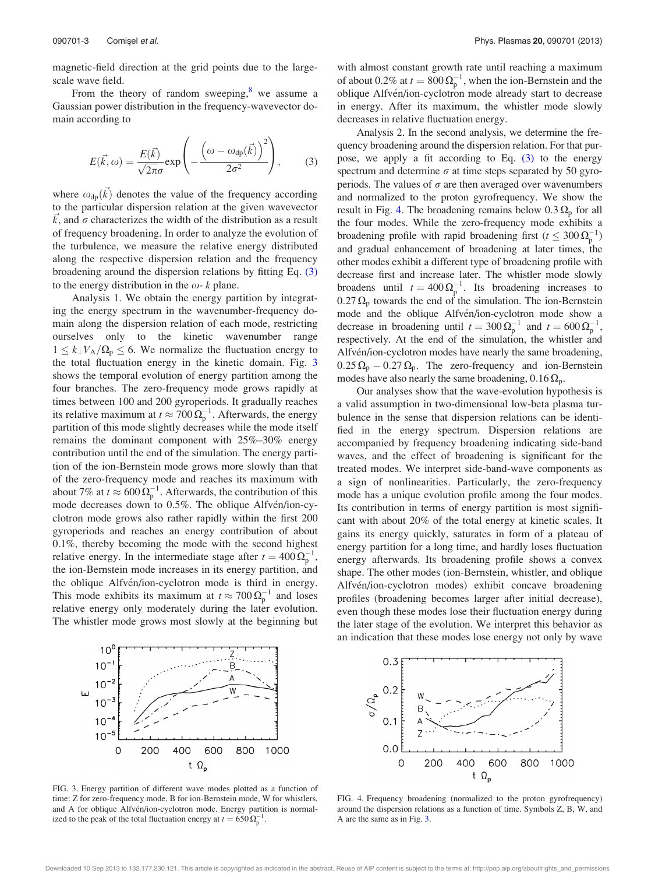magnetic-field direction at the grid points due to the largescale wave field.

From the theory of random sweeping, $\frac{8}{3}$  $\frac{8}{3}$  $\frac{8}{3}$  we assume a Gaussian power distribution in the frequency-wavevector domain according to

$$
E(\vec{k},\omega) = \frac{E(\vec{k})}{\sqrt{2\pi}\sigma} \exp\left(-\frac{(\omega - \omega_{dp}(\vec{k}))^2}{2\sigma^2}\right),\tag{3}
$$

where  $\omega_{dp}(\vec{k})$  denotes the value of the frequency according to the particular dispersion relation at the given wavevector  $\vec{k}$ , and  $\sigma$  characterizes the width of the distribution as a result of frequency broadening. In order to analyze the evolution of the turbulence, we measure the relative energy distributed along the respective dispersion relation and the frequency broadening around the dispersion relations by fitting Eq. (3) to the energy distribution in the  $\omega$ - k plane.

Analysis 1. We obtain the energy partition by integrating the energy spectrum in the wavenumber-frequency domain along the dispersion relation of each mode, restricting ourselves only to the kinetic wavenumber range  $1 \leq k_{\perp}V_A/\Omega_p \leq 6$ . We normalize the fluctuation energy to the total fluctuation energy in the kinetic domain. Fig. 3 shows the temporal evolution of energy partition among the four branches. The zero-frequency mode grows rapidly at times between 100 and 200 gyroperiods. It gradually reaches its relative maximum at  $t \approx 700 \,\Omega_{\rm p}^{-1}$ . Afterwards, the energy partition of this mode slightly decreases while the mode itself remains the dominant component with 25%–30% energy contribution until the end of the simulation. The energy partition of the ion-Bernstein mode grows more slowly than that of the zero-frequency mode and reaches its maximum with about 7% at  $t \approx 600 \Omega_{\rm p}^{-1}$ . Afterwards, the contribution of this mode decreases down to 0.5%. The oblique Alfvén/ion-cyclotron mode grows also rather rapidly within the first 200 gyroperiods and reaches an energy contribution of about 0.1%, thereby becoming the mode with the second highest relative energy. In the intermediate stage after  $t = 400 \Omega_{p}^{-1}$ , the ion-Bernstein mode increases in its energy partition, and the oblique Alfvén/ion-cyclotron mode is third in energy. This mode exhibits its maximum at  $t \approx 700 \Omega_{\rm p}^{-1}$  and loses relative energy only moderately during the later evolution. The whistler mode grows most slowly at the beginning but with almost constant growth rate until reaching a maximum of about 0.2% at  $t = 800 \Omega_{\rm p}^{-1}$ , when the ion-Bernstein and the oblique Alfvén/ion-cyclotron mode already start to decrease in energy. After its maximum, the whistler mode slowly decreases in relative fluctuation energy.

Analysis 2. In the second analysis, we determine the frequency broadening around the dispersion relation. For that purpose, we apply a fit according to Eq. (3) to the energy spectrum and determine  $\sigma$  at time steps separated by 50 gyroperiods. The values of  $\sigma$  are then averaged over wavenumbers and normalized to the proton gyrofrequency. We show the result in Fig. 4. The broadening remains below  $0.3 \Omega_{\text{p}}$  for all the four modes. While the zero-frequency mode exhibits a broadening profile with rapid broadening first ( $t \leq 300 \Omega_{\rm p}^{-1}$ ) and gradual enhancement of broadening at later times, the other modes exhibit a different type of broadening profile with decrease first and increase later. The whistler mode slowly broadens until  $t = 400 \Omega_p^{-1}$ . Its broadening increases to  $0.27 \Omega_p$  towards the end of the simulation. The ion-Bernstein mode and the oblique Alfvén/ion-cyclotron mode show a decrease in broadening until  $t = 300 \Omega_{\rm p}^{-1}$  and  $t = 600 \Omega_{\rm p}^{-1}$ , respectively. At the end of the simulation, the whistler and Alfven/ion-cyclotron modes have nearly the same broadening,  $0.25 \Omega_p - 0.27 \Omega_p$ . The zero-frequency and ion-Bernstein modes have also nearly the same broadening,  $0.16 \Omega_{p}$ .

Our analyses show that the wave-evolution hypothesis is a valid assumption in two-dimensional low-beta plasma turbulence in the sense that dispersion relations can be identified in the energy spectrum. Dispersion relations are accompanied by frequency broadening indicating side-band waves, and the effect of broadening is significant for the treated modes. We interpret side-band-wave components as a sign of nonlinearities. Particularly, the zero-frequency mode has a unique evolution profile among the four modes. Its contribution in terms of energy partition is most significant with about 20% of the total energy at kinetic scales. It gains its energy quickly, saturates in form of a plateau of energy partition for a long time, and hardly loses fluctuation energy afterwards. Its broadening profile shows a convex shape. The other modes (ion-Bernstein, whistler, and oblique Alfven/ion-cyclotron modes) exhibit concave broadening profiles (broadening becomes larger after initial decrease), even though these modes lose their fluctuation energy during the later stage of the evolution. We interpret this behavior as an indication that these modes lose energy not only by wave



FIG. 3. Energy partition of different wave modes plotted as a function of time: Z for zero-frequency mode, B for ion-Bernstein mode, W for whistlers, and A for oblique Alfvén/ion-cyclotron mode. Energy partition is normalized to the peak of the total fluctuation energy at  $t = 650 \Omega_{p}^{-1}$ .



FIG. 4. Frequency broadening (normalized to the proton gyrofrequency) around the dispersion relations as a function of time. Symbols Z, B, W, and A are the same as in Fig. 3.